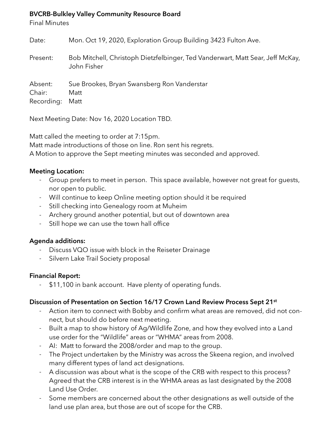#### **BVCRB-Bulkley Valley Community Resource Board**

Final Minutes

| Date:                           | Mon. Oct 19, 2020, Exploration Group Building 3423 Fulton Ave.                                |
|---------------------------------|-----------------------------------------------------------------------------------------------|
| Present:                        | Bob Mitchell, Christoph Dietzfelbinger, Ted Vanderwart, Matt Sear, Jeff McKay,<br>John Fisher |
| Absent:<br>Chair:<br>Recording: | Sue Brookes, Bryan Swansberg Ron Vanderstar<br>Matt<br>Matt                                   |

Next Meeting Date: Nov 16, 2020 Location TBD.

Matt called the meeting to order at 7:15pm. Matt made introductions of those on line. Ron sent his regrets. A Motion to approve the Sept meeting minutes was seconded and approved.

### **Meeting Location:**

- Group prefers to meet in person. This space available, however not great for guests, nor open to public.
- Will continue to keep Online meeting option should it be required
- Still checking into Genealogy room at Muheim
- Archery ground another potential, but out of downtown area
- Still hope we can use the town hall office

#### **Agenda additions:**

- Discuss VQO issue with block in the Reiseter Drainage
- Silvern Lake Trail Society proposal

## **Financial Report:**

\$11,100 in bank account. Have plenty of operating funds.

## **Discussion of Presentation on Section 16/17 Crown Land Review Process Sept 21st**

- Action item to connect with Bobby and confirm what areas are removed, did not connect, but should do before next meeting.
- Built a map to show history of Ag/Wildlife Zone, and how they evolved into a Land use order for the "Wildlife" areas or "WHMA" areas from 2008.
- AI: Matt to forward the 2008/order and map to the group.
- The Project undertaken by the Ministry was across the Skeena region, and involved many different types of land act designations.
- A discussion was about what is the scope of the CRB with respect to this process? Agreed that the CRB interest is in the WHMA areas as last designated by the 2008 Land Use Order.
- Some members are concerned about the other designations as well outside of the land use plan area, but those are out of scope for the CRB.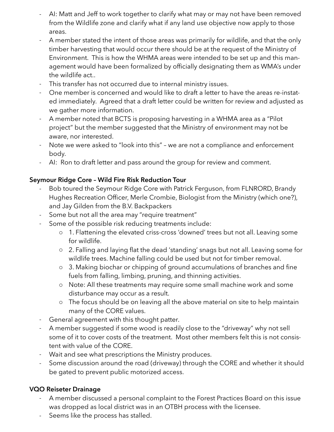- AI: Matt and Jeff to work together to clarify what may or may not have been removed from the Wildlife zone and clarify what if any land use objective now apply to those areas.
- A member stated the intent of those areas was primarily for wildlife, and that the only timber harvesting that would occur there should be at the request of the Ministry of Environment. This is how the WHMA areas were intended to be set up and this management would have been formalized by officially designating them as WMA's under the wildlife act..
- This transfer has not occurred due to internal ministry issues.
- One member is concerned and would like to draft a letter to have the areas re-instated immediately. Agreed that a draft letter could be written for review and adjusted as we gather more information.
- A member noted that BCTS is proposing harvesting in a WHMA area as a "Pilot project" but the member suggested that the Ministry of environment may not be aware, nor interested.
- Note we were asked to "look into this" we are not a compliance and enforcement body.
- AI: Ron to draft letter and pass around the group for review and comment.

# **Seymour Ridge Core – Wild Fire Risk Reduction Tour**

- Bob toured the Seymour Ridge Core with Patrick Ferguson, from FLNRORD, Brandy Hughes Recreation Officer, Merle Crombie, Biologist from the Ministry (which one?), and Jay Gilden from the B.V. Backpackers
- Some but not all the area may "require treatment"
- Some of the possible risk reducing treatments include:
	- o 1. Flattening the elevated criss-cross 'downed' trees but not all. Leaving some for wildlife.
	- o 2. Falling and laying flat the dead 'standing' snags but not all. Leaving some for wildlife trees. Machine falling could be used but not for timber removal.
	- o 3. Making biochar or chipping of ground accumulations of branches and fine fuels from falling, limbing, pruning, and thinning activities.
	- o Note: All these treatments may require some small machine work and some disturbance may occur as a result.
	- o The focus should be on leaving all the above material on site to help maintain many of the CORE values.
- General agreement with this thought patter.
- A member suggested if some wood is readily close to the "driveway" why not sell some of it to cover costs of the treatment. Most other members felt this is not consistent with value of the CORE.
- Wait and see what prescriptions the Ministry produces.
- Some discussion around the road (driveway) through the CORE and whether it should be gated to prevent public motorized access.

# **VQO Reiseter Drainage**

- A member discussed a personal complaint to the Forest Practices Board on this issue was dropped as local district was in an OTBH process with the licensee.
- Seems like the process has stalled.